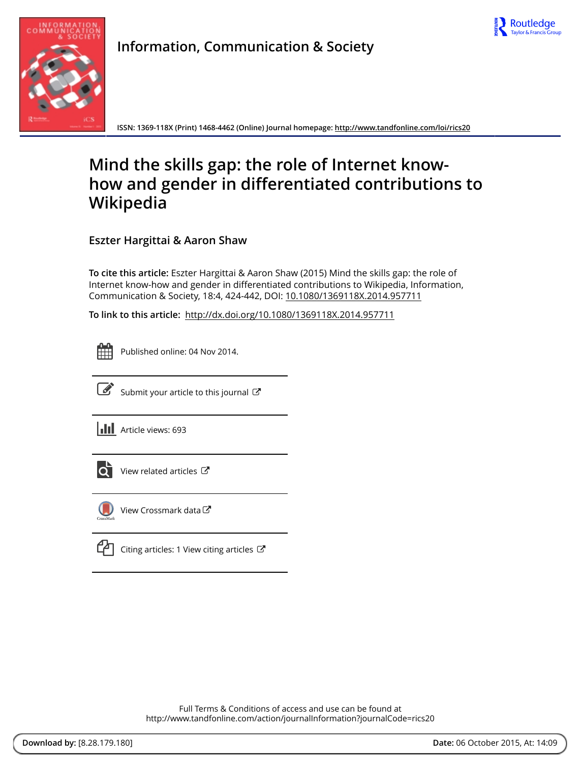



**Information, Communication & Society**

**ISSN: 1369-118X (Print) 1468-4462 (Online) Journal homepage: <http://www.tandfonline.com/loi/rics20>**

# **Mind the skills gap: the role of Internet knowhow and gender in differentiated contributions to Wikipedia**

**Eszter Hargittai & Aaron Shaw**

**To cite this article:** Eszter Hargittai & Aaron Shaw (2015) Mind the skills gap: the role of Internet know-how and gender in differentiated contributions to Wikipedia, Information, Communication & Society, 18:4, 424-442, DOI: [10.1080/1369118X.2014.957711](http://www.tandfonline.com/action/showCitFormats?doi=10.1080/1369118X.2014.957711)

**To link to this article:** <http://dx.doi.org/10.1080/1369118X.2014.957711>

Published online: 04 Nov 2014.



[Submit your article to this journal](http://www.tandfonline.com/action/authorSubmission?journalCode=rics20&page=instructions)  $\mathbb{Z}$ 





 $\overrightarrow{Q}$  [View related articles](http://www.tandfonline.com/doi/mlt/10.1080/1369118X.2014.957711)  $\overrightarrow{C}$ 



[View Crossmark data](http://crossmark.crossref.org/dialog/?doi=10.1080/1369118X.2014.957711&domain=pdf&date_stamp=2014-11-04)<sup>√</sup>



 $\mathbb{C}$  [Citing articles: 1 View citing articles](http://www.tandfonline.com/doi/citedby/10.1080/1369118X.2014.957711#tabModule)  $\mathbb{C}$ 

Full Terms & Conditions of access and use can be found at <http://www.tandfonline.com/action/journalInformation?journalCode=rics20>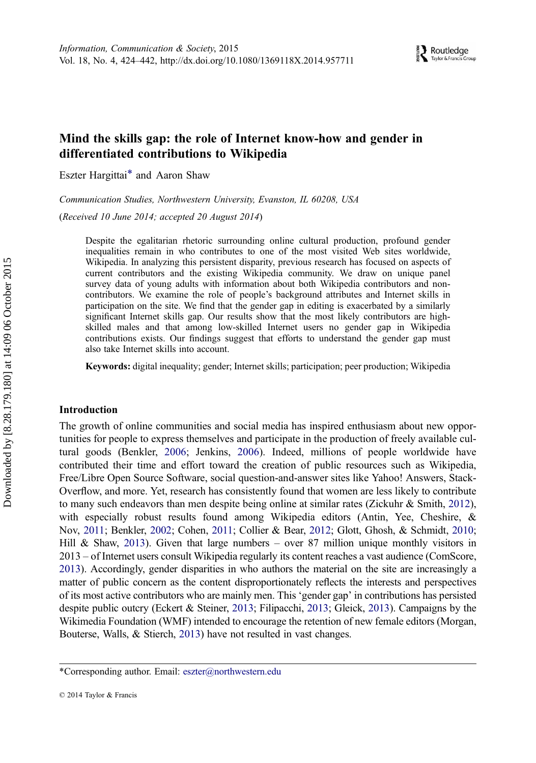# Mind the skills gap: the role of Internet know-how and gender in differentiated contributions to Wikipedia

Eszter Hargittai\* and Aaron Shaw

Communication Studies, Northwestern University, Evanston, IL 60208, USA

(Received 10 June 2014; accepted 20 August 2014)

Despite the egalitarian rhetoric surrounding online cultural production, profound gender inequalities remain in who contributes to one of the most visited Web sites worldwide, Wikipedia. In analyzing this persistent disparity, previous research has focused on aspects of current contributors and the existing Wikipedia community. We draw on unique panel survey data of young adults with information about both Wikipedia contributors and noncontributors. We examine the role of people's background attributes and Internet skills in participation on the site. We find that the gender gap in editing is exacerbated by a similarly significant Internet skills gap. Our results show that the most likely contributors are highskilled males and that among low-skilled Internet users no gender gap in Wikipedia contributions exists. Our findings suggest that efforts to understand the gender gap must also take Internet skills into account.

Keywords: digital inequality; gender; Internet skills; participation; peer production; Wikipedia

# Introduction

The growth of online communities and social media has inspired enthusiasm about new opportunities for people to express themselves and participate in the production of freely available cultural goods (Benkler, [2006](#page-17-0); Jenkins, [2006\)](#page-18-0). Indeed, millions of people worldwide have contributed their time and effort toward the creation of public resources such as Wikipedia, Free/Libre Open Source Software, social question-and-answer sites like Yahoo! Answers, Stack-Overflow, and more. Yet, research has consistently found that women are less likely to contribute to many such endeavors than men despite being online at similar rates (Zickuhr  $\&$  Smith, [2012\)](#page-19-0), with especially robust results found among Wikipedia editors (Antin, Yee, Cheshire, & Nov, [2011](#page-17-0); Benkler, [2002;](#page-17-0) Cohen, [2011](#page-17-0); Collier & Bear, [2012;](#page-17-0) Glott, Ghosh, & Schmidt, [2010;](#page-18-0) Hill & Shaw, [2013\)](#page-18-0). Given that large numbers – over 87 million unique monthly visitors in 2013 – of Internet users consult Wikipedia regularly its content reaches a vast audience (ComScore, [2013](#page-17-0)). Accordingly, gender disparities in who authors the material on the site are increasingly a matter of public concern as the content disproportionately reflects the interests and perspectives of its most active contributors who are mainly men. This 'gender gap' in contributions has persisted despite public outcry (Eckert & Steiner, [2013](#page-18-0); Filipacchi, [2013](#page-18-0); Gleick, [2013\)](#page-18-0). Campaigns by the Wikimedia Foundation (WMF) intended to encourage the retention of new female editors (Morgan, Bouterse, Walls, & Stierch, [2013\)](#page-19-0) have not resulted in vast changes.

<sup>\*</sup>Corresponding author. Email: [eszter@northwestern.edu](mailto:eszter@northwestern.edu)

<sup>© 2014</sup> Taylor & Francis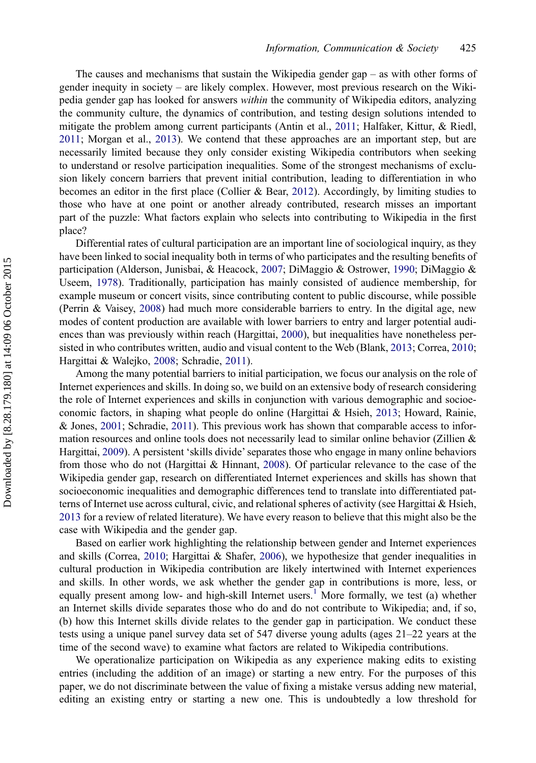The causes and mechanisms that sustain the Wikipedia gender gap – as with other forms of gender inequity in society – are likely complex. However, most previous research on the Wikipedia gender gap has looked for answers within the community of Wikipedia editors, analyzing the community culture, the dynamics of contribution, and testing design solutions intended to mitigate the problem among current participants (Antin et al., [2011](#page-17-0); Halfaker, Kittur, & Riedl, [2011](#page-18-0); Morgan et al., [2013](#page-19-0)). We contend that these approaches are an important step, but are necessarily limited because they only consider existing Wikipedia contributors when seeking to understand or resolve participation inequalities. Some of the strongest mechanisms of exclusion likely concern barriers that prevent initial contribution, leading to differentiation in who becomes an editor in the first place (Collier & Bear, [2012\)](#page-17-0). Accordingly, by limiting studies to those who have at one point or another already contributed, research misses an important part of the puzzle: What factors explain who selects into contributing to Wikipedia in the first place?

Differential rates of cultural participation are an important line of sociological inquiry, as they have been linked to social inequality both in terms of who participates and the resulting benefits of participation (Alderson, Junisbai, & Heacock, [2007](#page-17-0); DiMaggio & Ostrower, [1990;](#page-18-0) DiMaggio & Useem, [1978\)](#page-18-0). Traditionally, participation has mainly consisted of audience membership, for example museum or concert visits, since contributing content to public discourse, while possible (Perrin & Vaisey, [2008](#page-19-0)) had much more considerable barriers to entry. In the digital age, new modes of content production are available with lower barriers to entry and larger potential audiences than was previously within reach (Hargittai, [2000](#page-18-0)), but inequalities have nonetheless persisted in who contributes written, audio and visual content to the Web (Blank, [2013;](#page-17-0) Correa, [2010;](#page-17-0) Hargittai & Walejko, [2008;](#page-18-0) Schradie, [2011](#page-19-0)).

Among the many potential barriers to initial participation, we focus our analysis on the role of Internet experiences and skills. In doing so, we build on an extensive body of research considering the role of Internet experiences and skills in conjunction with various demographic and socioeconomic factors, in shaping what people do online (Hargittai & Hsieh, [2013](#page-18-0); Howard, Rainie, & Jones, [2001](#page-18-0); Schradie, [2011\)](#page-19-0). This previous work has shown that comparable access to information resources and online tools does not necessarily lead to similar online behavior (Zillien  $\&$ Hargittai, [2009](#page-19-0)). A persistent 'skills divide'separates those who engage in many online behaviors from those who do not (Hargittai & Hinnant, [2008](#page-18-0)). Of particular relevance to the case of the Wikipedia gender gap, research on differentiated Internet experiences and skills has shown that socioeconomic inequalities and demographic differences tend to translate into differentiated patterns of Internet use across cultural, civic, and relational spheres of activity (see Hargittai & Hsieh, [2013](#page-18-0) for a review of related literature). We have every reason to believe that this might also be the case with Wikipedia and the gender gap.

Based on earlier work highlighting the relationship between gender and Internet experiences and skills (Correa, [2010](#page-17-0); Hargittai & Shafer, [2006\)](#page-18-0), we hypothesize that gender inequalities in cultural production in Wikipedia contribution are likely intertwined with Internet experiences and skills. In other words, we ask whether the gender gap in contributions is more, less, or equally present among low- and high-skill Internet users.<sup>[1](#page-16-0)</sup> More formally, we test (a) whether an Internet skills divide separates those who do and do not contribute to Wikipedia; and, if so, (b) how this Internet skills divide relates to the gender gap in participation. We conduct these tests using a unique panel survey data set of 547 diverse young adults (ages 21–22 years at the time of the second wave) to examine what factors are related to Wikipedia contributions.

We operationalize participation on Wikipedia as any experience making edits to existing entries (including the addition of an image) or starting a new entry. For the purposes of this paper, we do not discriminate between the value of fixing a mistake versus adding new material, editing an existing entry or starting a new one. This is undoubtedly a low threshold for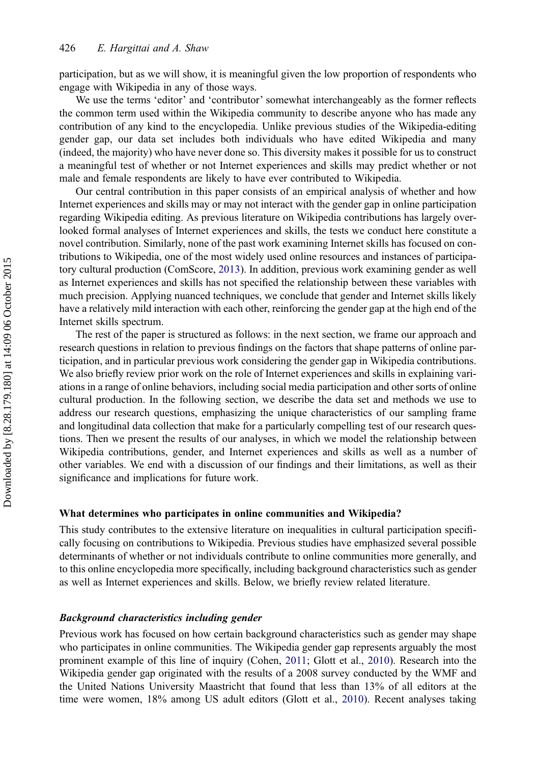participation, but as we will show, it is meaningful given the low proportion of respondents who engage with Wikipedia in any of those ways.

We use the terms 'editor' and 'contributor' somewhat interchangeably as the former reflects the common term used within the Wikipedia community to describe anyone who has made any contribution of any kind to the encyclopedia. Unlike previous studies of the Wikipedia-editing gender gap, our data set includes both individuals who have edited Wikipedia and many (indeed, the majority) who have never done so. This diversity makes it possible for us to construct a meaningful test of whether or not Internet experiences and skills may predict whether or not male and female respondents are likely to have ever contributed to Wikipedia.

Our central contribution in this paper consists of an empirical analysis of whether and how Internet experiences and skills may or may not interact with the gender gap in online participation regarding Wikipedia editing. As previous literature on Wikipedia contributions has largely overlooked formal analyses of Internet experiences and skills, the tests we conduct here constitute a novel contribution. Similarly, none of the past work examining Internet skills has focused on contributions to Wikipedia, one of the most widely used online resources and instances of participatory cultural production (ComScore, [2013](#page-17-0)). In addition, previous work examining gender as well as Internet experiences and skills has not specified the relationship between these variables with much precision. Applying nuanced techniques, we conclude that gender and Internet skills likely have a relatively mild interaction with each other, reinforcing the gender gap at the high end of the Internet skills spectrum.

The rest of the paper is structured as follows: in the next section, we frame our approach and research questions in relation to previous findings on the factors that shape patterns of online participation, and in particular previous work considering the gender gap in Wikipedia contributions. We also briefly review prior work on the role of Internet experiences and skills in explaining variations in a range of online behaviors, including social media participation and other sorts of online cultural production. In the following section, we describe the data set and methods we use to address our research questions, emphasizing the unique characteristics of our sampling frame and longitudinal data collection that make for a particularly compelling test of our research questions. Then we present the results of our analyses, in which we model the relationship between Wikipedia contributions, gender, and Internet experiences and skills as well as a number of other variables. We end with a discussion of our findings and their limitations, as well as their significance and implications for future work.

# What determines who participates in online communities and Wikipedia?

This study contributes to the extensive literature on inequalities in cultural participation specifically focusing on contributions to Wikipedia. Previous studies have emphasized several possible determinants of whether or not individuals contribute to online communities more generally, and to this online encyclopedia more specifically, including background characteristics such as gender as well as Internet experiences and skills. Below, we briefly review related literature.

#### Background characteristics including gender

Previous work has focused on how certain background characteristics such as gender may shape who participates in online communities. The Wikipedia gender gap represents arguably the most prominent example of this line of inquiry (Cohen, [2011;](#page-17-0) Glott et al., [2010\)](#page-18-0). Research into the Wikipedia gender gap originated with the results of a 2008 survey conducted by the WMF and the United Nations University Maastricht that found that less than 13% of all editors at the time were women, 18% among US adult editors (Glott et al., [2010\)](#page-18-0). Recent analyses taking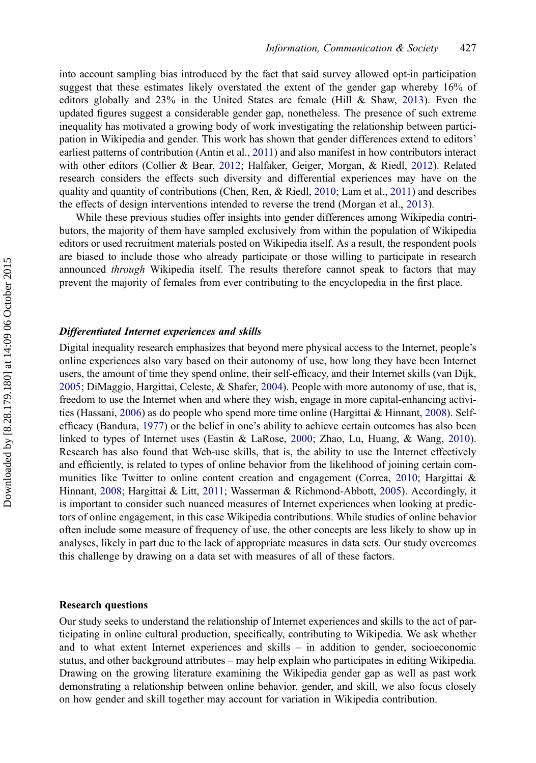into account sampling bias introduced by the fact that said survey allowed opt-in participation suggest that these estimates likely overstated the extent of the gender gap whereby 16% of editors globally and 23% in the United States are female (Hill & Shaw, [2013](#page-18-0)). Even the updated figures suggest a considerable gender gap, nonetheless. The presence of such extreme inequality has motivated a growing body of work investigating the relationship between participation in Wikipedia and gender. This work has shown that gender differences extend to editors' earliest patterns of contribution (Antin et al., [2011](#page-17-0)) and also manifest in how contributors interact with other editors (Collier & Bear, [2012;](#page-17-0) Halfaker, Geiger, Morgan, & Riedl, [2012\)](#page-18-0). Related research considers the effects such diversity and differential experiences may have on the quality and quantity of contributions (Chen, Ren, & Riedl, [2010](#page-17-0); Lam et al., [2011](#page-19-0)) and describes the effects of design interventions intended to reverse the trend (Morgan et al., [2013](#page-19-0)).

While these previous studies offer insights into gender differences among Wikipedia contributors, the majority of them have sampled exclusively from within the population of Wikipedia editors or used recruitment materials posted on Wikipedia itself. As a result, the respondent pools are biased to include those who already participate or those willing to participate in research announced *through* Wikipedia itself. The results therefore cannot speak to factors that may prevent the majority of females from ever contributing to the encyclopedia in the first place.

#### Differentiated Internet experiences and skills

Digital inequality research emphasizes that beyond mere physical access to the Internet, people's online experiences also vary based on their autonomy of use, how long they have been Internet users, the amount of time they spend online, their self-efficacy, and their Internet skills (van Dijk, [2005;](#page-17-0) DiMaggio, Hargittai, Celeste, & Shafer, [2004](#page-18-0)). People with more autonomy of use, that is, freedom to use the Internet when and where they wish, engage in more capital-enhancing activities (Hassani, [2006](#page-18-0)) as do people who spend more time online (Hargittai & Hinnant, [2008](#page-18-0)). Selfefficacy (Bandura, [1977](#page-17-0)) or the belief in one's ability to achieve certain outcomes has also been linked to types of Internet uses (Eastin & LaRose, [2000;](#page-18-0) Zhao, Lu, Huang, & Wang, [2010\)](#page-19-0). Research has also found that Web-use skills, that is, the ability to use the Internet effectively and efficiently, is related to types of online behavior from the likelihood of joining certain communities like Twitter to online content creation and engagement (Correa, [2010](#page-17-0); Hargittai & Hinnant, [2008](#page-18-0); Hargittai & Litt, [2011](#page-18-0); Wasserman & Richmond-Abbott, [2005\)](#page-19-0). Accordingly, it is important to consider such nuanced measures of Internet experiences when looking at predictors of online engagement, in this case Wikipedia contributions. While studies of online behavior often include some measure of frequency of use, the other concepts are less likely to show up in analyses, likely in part due to the lack of appropriate measures in data sets. Our study overcomes this challenge by drawing on a data set with measures of all of these factors.

### Research questions

Our study seeks to understand the relationship of Internet experiences and skills to the act of participating in online cultural production, specifically, contributing to Wikipedia. We ask whether and to what extent Internet experiences and skills – in addition to gender, socioeconomic status, and other background attributes – may help explain who participates in editing Wikipedia. Drawing on the growing literature examining the Wikipedia gender gap as well as past work demonstrating a relationship between online behavior, gender, and skill, we also focus closely on how gender and skill together may account for variation in Wikipedia contribution.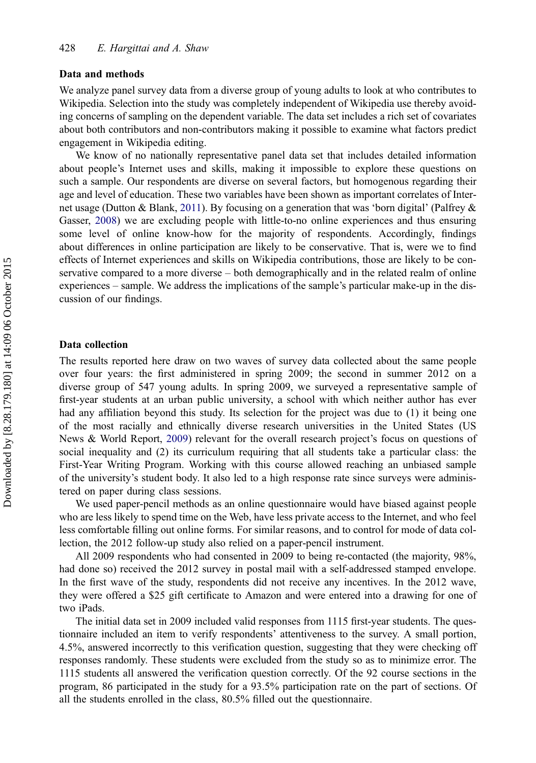#### Data and methods

We analyze panel survey data from a diverse group of young adults to look at who contributes to Wikipedia. Selection into the study was completely independent of Wikipedia use thereby avoiding concerns of sampling on the dependent variable. The data set includes a rich set of covariates about both contributors and non-contributors making it possible to examine what factors predict engagement in Wikipedia editing.

We know of no nationally representative panel data set that includes detailed information about people's Internet uses and skills, making it impossible to explore these questions on such a sample. Our respondents are diverse on several factors, but homogenous regarding their age and level of education. These two variables have been shown as important correlates of Internet usage (Dutton & Blank, [2011\)](#page-18-0). By focusing on a generation that was 'born digital' (Palfrey & Gasser, [2008\)](#page-19-0) we are excluding people with little-to-no online experiences and thus ensuring some level of online know-how for the majority of respondents. Accordingly, findings about differences in online participation are likely to be conservative. That is, were we to find effects of Internet experiences and skills on Wikipedia contributions, those are likely to be conservative compared to a more diverse – both demographically and in the related realm of online experiences – sample. We address the implications of the sample's particular make-up in the discussion of our findings.

# Data collection

The results reported here draw on two waves of survey data collected about the same people over four years: the first administered in spring 2009; the second in summer 2012 on a diverse group of 547 young adults. In spring 2009, we surveyed a representative sample of first-year students at an urban public university, a school with which neither author has ever had any affiliation beyond this study. Its selection for the project was due to (1) it being one of the most racially and ethnically diverse research universities in the United States (US News & World Report, [2009](#page-19-0)) relevant for the overall research project's focus on questions of social inequality and (2) its curriculum requiring that all students take a particular class: the First-Year Writing Program. Working with this course allowed reaching an unbiased sample of the university's student body. It also led to a high response rate since surveys were administered on paper during class sessions.

We used paper-pencil methods as an online questionnaire would have biased against people who are less likely to spend time on the Web, have less private access to the Internet, and who feel less comfortable filling out online forms. For similar reasons, and to control for mode of data collection, the 2012 follow-up study also relied on a paper-pencil instrument.

All 2009 respondents who had consented in 2009 to being re-contacted (the majority, 98%, had done so) received the 2012 survey in postal mail with a self-addressed stamped envelope. In the first wave of the study, respondents did not receive any incentives. In the 2012 wave, they were offered a \$25 gift certificate to Amazon and were entered into a drawing for one of two iPads.

The initial data set in 2009 included valid responses from 1115 first-year students. The questionnaire included an item to verify respondents' attentiveness to the survey. A small portion, 4.5%, answered incorrectly to this verification question, suggesting that they were checking off responses randomly. These students were excluded from the study so as to minimize error. The 1115 students all answered the verification question correctly. Of the 92 course sections in the program, 86 participated in the study for a 93.5% participation rate on the part of sections. Of all the students enrolled in the class, 80.5% filled out the questionnaire.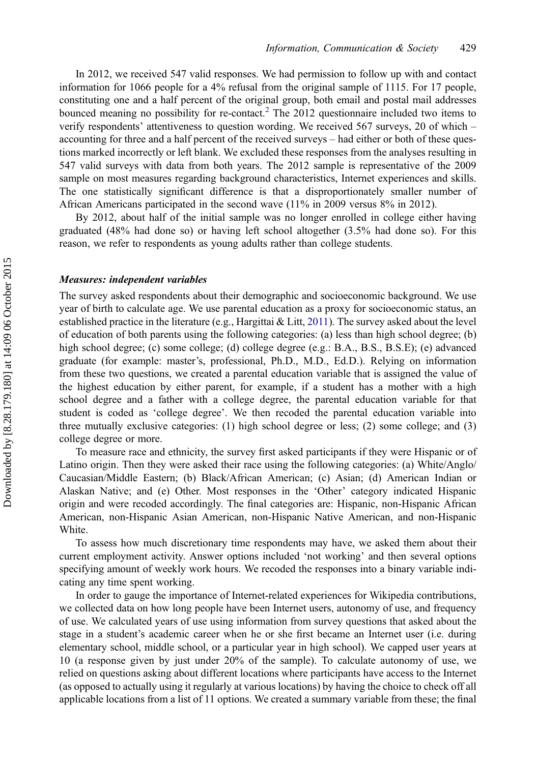In 2012, we received 547 valid responses. We had permission to follow up with and contact information for 1066 people for a 4% refusal from the original sample of 1115. For 17 people, constituting one and a half percent of the original group, both email and postal mail addresses bounced meaning no possibility for re-contact.<sup>[2](#page-16-0)</sup> The 2012 questionnaire included two items to verify respondents' attentiveness to question wording. We received 567 surveys, 20 of which – accounting for three and a half percent of the received surveys – had either or both of these questions marked incorrectly or left blank. We excluded these responses from the analyses resulting in 547 valid surveys with data from both years. The 2012 sample is representative of the 2009 sample on most measures regarding background characteristics, Internet experiences and skills. The one statistically significant difference is that a disproportionately smaller number of African Americans participated in the second wave (11% in 2009 versus 8% in 2012).

By 2012, about half of the initial sample was no longer enrolled in college either having graduated (48% had done so) or having left school altogether (3.5% had done so). For this reason, we refer to respondents as young adults rather than college students.

#### Measures: independent variables

The survey asked respondents about their demographic and socioeconomic background. We use year of birth to calculate age. We use parental education as a proxy for socioeconomic status, an established practice in the literature (e.g., Hargittai & Litt, [2011\)](#page-18-0). The survey asked about the level of education of both parents using the following categories: (a) less than high school degree; (b) high school degree; (c) some college; (d) college degree (e.g.: B.A., B.S., B.S.E); (e) advanced graduate (for example: master's, professional, Ph.D., M.D., Ed.D.). Relying on information from these two questions, we created a parental education variable that is assigned the value of the highest education by either parent, for example, if a student has a mother with a high school degree and a father with a college degree, the parental education variable for that student is coded as 'college degree'. We then recoded the parental education variable into three mutually exclusive categories: (1) high school degree or less; (2) some college; and (3) college degree or more.

To measure race and ethnicity, the survey first asked participants if they were Hispanic or of Latino origin. Then they were asked their race using the following categories: (a) White/Anglo/ Caucasian/Middle Eastern; (b) Black/African American; (c) Asian; (d) American Indian or Alaskan Native; and (e) Other. Most responses in the 'Other' category indicated Hispanic origin and were recoded accordingly. The final categories are: Hispanic, non-Hispanic African American, non-Hispanic Asian American, non-Hispanic Native American, and non-Hispanic White.

To assess how much discretionary time respondents may have, we asked them about their current employment activity. Answer options included 'not working' and then several options specifying amount of weekly work hours. We recoded the responses into a binary variable indicating any time spent working.

In order to gauge the importance of Internet-related experiences for Wikipedia contributions, we collected data on how long people have been Internet users, autonomy of use, and frequency of use. We calculated years of use using information from survey questions that asked about the stage in a student's academic career when he or she first became an Internet user (i.e. during elementary school, middle school, or a particular year in high school). We capped user years at 10 (a response given by just under 20% of the sample). To calculate autonomy of use, we relied on questions asking about different locations where participants have access to the Internet (as opposed to actually using it regularly at various locations) by having the choice to check off all applicable locations from a list of 11 options. We created a summary variable from these; the final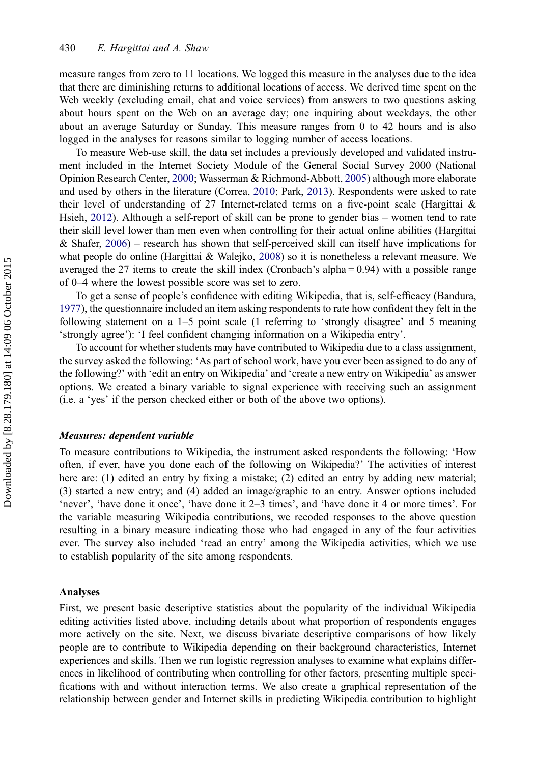measure ranges from zero to 11 locations. We logged this measure in the analyses due to the idea that there are diminishing returns to additional locations of access. We derived time spent on the Web weekly (excluding email, chat and voice services) from answers to two questions asking about hours spent on the Web on an average day; one inquiring about weekdays, the other about an average Saturday or Sunday. This measure ranges from 0 to 42 hours and is also logged in the analyses for reasons similar to logging number of access locations.

To measure Web-use skill, the data set includes a previously developed and validated instrument included in the Internet Society Module of the General Social Survey 2000 (National Opinion Research Center, [2000](#page-19-0); Wasserman & Richmond-Abbott, [2005\)](#page-19-0) although more elaborate and used by others in the literature (Correa, [2010](#page-17-0); Park, [2013\)](#page-19-0). Respondents were asked to rate their level of understanding of 27 Internet-related terms on a five-point scale (Hargittai & Hsieh, [2012](#page-18-0)). Although a self-report of skill can be prone to gender bias – women tend to rate their skill level lower than men even when controlling for their actual online abilities (Hargittai & Shafer, [2006](#page-18-0)) – research has shown that self-perceived skill can itself have implications for what people do online (Hargittai & Walejko, [2008](#page-18-0)) so it is nonetheless a relevant measure. We averaged the 27 items to create the skill index (Cronbach's alpha  $= 0.94$ ) with a possible range of 0–4 where the lowest possible score was set to zero.

To get a sense of people's confidence with editing Wikipedia, that is, self-efficacy (Bandura, [1977\)](#page-17-0), the questionnaire included an item asking respondents to rate how confident they felt in the following statement on a 1–5 point scale (1 referring to 'strongly disagree' and 5 meaning 'strongly agree'): 'I feel confident changing information on a Wikipedia entry'.

To account for whether students may have contributed to Wikipedia due to a class assignment, the survey asked the following: 'As part of school work, have you ever been assigned to do any of the following?' with 'edit an entry on Wikipedia' and 'create a new entry on Wikipedia' as answer options. We created a binary variable to signal experience with receiving such an assignment (i.e. a 'yes' if the person checked either or both of the above two options).

# Measures: dependent variable

To measure contributions to Wikipedia, the instrument asked respondents the following: 'How often, if ever, have you done each of the following on Wikipedia?' The activities of interest here are: (1) edited an entry by fixing a mistake; (2) edited an entry by adding new material; (3) started a new entry; and (4) added an image/graphic to an entry. Answer options included 'never', 'have done it once', 'have done it 2–3 times', and 'have done it 4 or more times'. For the variable measuring Wikipedia contributions, we recoded responses to the above question resulting in a binary measure indicating those who had engaged in any of the four activities ever. The survey also included 'read an entry' among the Wikipedia activities, which we use to establish popularity of the site among respondents.

#### Analyses

First, we present basic descriptive statistics about the popularity of the individual Wikipedia editing activities listed above, including details about what proportion of respondents engages more actively on the site. Next, we discuss bivariate descriptive comparisons of how likely people are to contribute to Wikipedia depending on their background characteristics, Internet experiences and skills. Then we run logistic regression analyses to examine what explains differences in likelihood of contributing when controlling for other factors, presenting multiple specifications with and without interaction terms. We also create a graphical representation of the relationship between gender and Internet skills in predicting Wikipedia contribution to highlight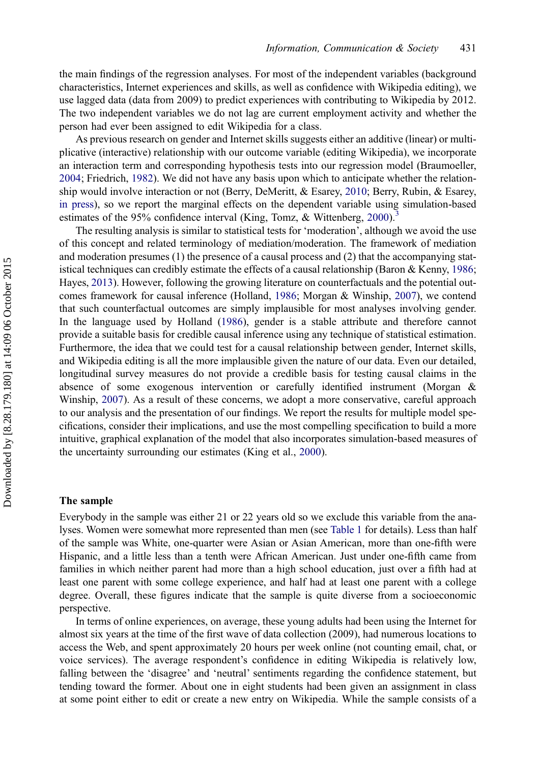the main findings of the regression analyses. For most of the independent variables (background characteristics, Internet experiences and skills, as well as confidence with Wikipedia editing), we use lagged data (data from 2009) to predict experiences with contributing to Wikipedia by 2012. The two independent variables we do not lag are current employment activity and whether the person had ever been assigned to edit Wikipedia for a class.

As previous research on gender and Internet skills suggests either an additive (linear) or multiplicative (interactive) relationship with our outcome variable (editing Wikipedia), we incorporate an interaction term and corresponding hypothesis tests into our regression model (Braumoeller, [2004;](#page-17-0) Friedrich, [1982](#page-18-0)). We did not have any basis upon which to anticipate whether the relationship would involve interaction or not (Berry, DeMeritt, & Esarey, [2010;](#page-17-0) Berry, Rubin, & Esarey, [in press](#page-17-0)), so we report the marginal effects on the dependent variable using simulation-based estimates of the 95% confidence interval (King, Tomz, & Wittenberg, [2000](#page-18-0)).

The resulting analysis is similar to statistical tests for 'moderation', although we avoid the use of this concept and related terminology of mediation/moderation. The framework of mediation and moderation presumes (1) the presence of a causal process and (2) that the accompanying statistical techniques can credibly estimate the effects of a causal relationship (Baron & Kenny, [1986;](#page-17-0) Hayes, [2013](#page-18-0)). However, following the growing literature on counterfactuals and the potential outcomes framework for causal inference (Holland, [1986](#page-18-0); Morgan & Winship, [2007](#page-19-0)), we contend that such counterfactual outcomes are simply implausible for most analyses involving gender. In the language used by Holland ([1986\)](#page-18-0), gender is a stable attribute and therefore cannot provide a suitable basis for credible causal inference using any technique of statistical estimation. Furthermore, the idea that we could test for a causal relationship between gender, Internet skills, and Wikipedia editing is all the more implausible given the nature of our data. Even our detailed, longitudinal survey measures do not provide a credible basis for testing causal claims in the absence of some exogenous intervention or carefully identified instrument (Morgan & Winship, [2007\)](#page-19-0). As a result of these concerns, we adopt a more conservative, careful approach to our analysis and the presentation of our findings. We report the results for multiple model specifications, consider their implications, and use the most compelling specification to build a more intuitive, graphical explanation of the model that also incorporates simulation-based measures of the uncertainty surrounding our estimates (King et al., [2000\)](#page-18-0).

#### The sample

Everybody in the sample was either 21 or 22 years old so we exclude this variable from the analyses. Women were somewhat more represented than men (see [Table 1](#page-9-0) for details). Less than half of the sample was White, one-quarter were Asian or Asian American, more than one-fifth were Hispanic, and a little less than a tenth were African American. Just under one-fifth came from families in which neither parent had more than a high school education, just over a fifth had at least one parent with some college experience, and half had at least one parent with a college degree. Overall, these figures indicate that the sample is quite diverse from a socioeconomic perspective.

In terms of online experiences, on average, these young adults had been using the Internet for almost six years at the time of the first wave of data collection (2009), had numerous locations to access the Web, and spent approximately 20 hours per week online (not counting email, chat, or voice services). The average respondent's confidence in editing Wikipedia is relatively low, falling between the 'disagree' and 'neutral' sentiments regarding the confidence statement, but tending toward the former. About one in eight students had been given an assignment in class at some point either to edit or create a new entry on Wikipedia. While the sample consists of a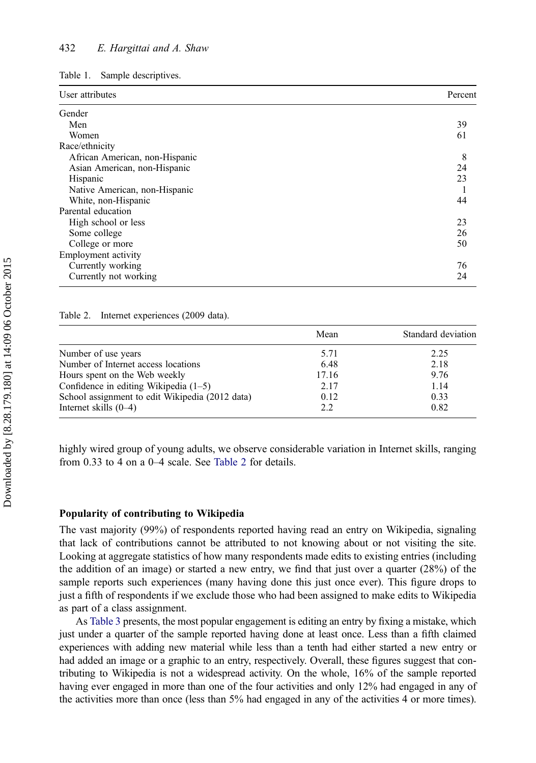<span id="page-9-0"></span>

| Table 1. |  | Sample descriptives. |
|----------|--|----------------------|
|----------|--|----------------------|

| User attributes                | Percent |
|--------------------------------|---------|
| Gender                         |         |
| Men                            | 39      |
| Women                          | 61      |
| Race/ethnicity                 |         |
| African American, non-Hispanic | 8       |
| Asian American, non-Hispanic   | 24      |
| Hispanic                       | 23      |
| Native American, non-Hispanic  |         |
| White, non-Hispanic            | 44      |
| Parental education             |         |
| High school or less            | 23      |
| Some college                   | 26      |
| College or more                | 50      |
| Employment activity            |         |
| Currently working              | 76      |
| Currently not working          | 24      |

#### Table 2. Internet experiences (2009 data).

|                                                 | Mean  | Standard deviation |
|-------------------------------------------------|-------|--------------------|
| Number of use years                             | 5.71  | 2.25               |
| Number of Internet access locations             | 6.48  | 2.18               |
| Hours spent on the Web weekly                   | 17.16 | 9.76               |
| Confidence in editing Wikipedia $(1-5)$         | 2.17  | 1.14               |
| School assignment to edit Wikipedia (2012 data) | 0.12  | 0.33               |
| Internet skills $(0-4)$                         | 2.2   | 0.82               |

highly wired group of young adults, we observe considerable variation in Internet skills, ranging from 0.33 to 4 on a 0–4 scale. See Table 2 for details.

# Popularity of contributing to Wikipedia

The vast majority (99%) of respondents reported having read an entry on Wikipedia, signaling that lack of contributions cannot be attributed to not knowing about or not visiting the site. Looking at aggregate statistics of how many respondents made edits to existing entries (including the addition of an image) or started a new entry, we find that just over a quarter (28%) of the sample reports such experiences (many having done this just once ever). This figure drops to just a fifth of respondents if we exclude those who had been assigned to make edits to Wikipedia as part of a class assignment.

As [Table 3](#page-10-0) presents, the most popular engagement is editing an entry by fixing a mistake, which just under a quarter of the sample reported having done at least once. Less than a fifth claimed experiences with adding new material while less than a tenth had either started a new entry or had added an image or a graphic to an entry, respectively. Overall, these figures suggest that contributing to Wikipedia is not a widespread activity. On the whole, 16% of the sample reported having ever engaged in more than one of the four activities and only 12% had engaged in any of the activities more than once (less than 5% had engaged in any of the activities 4 or more times).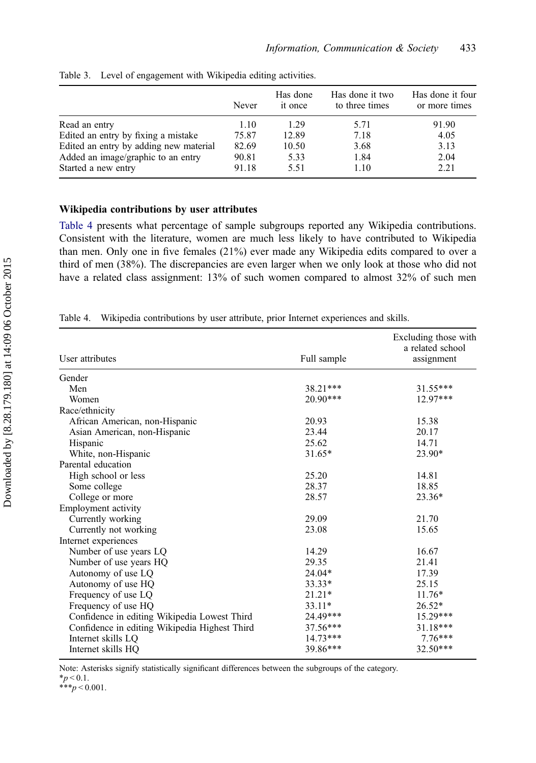|                                        | Never | Has done<br>it once | Has done it two<br>to three times | Has done it four<br>or more times |
|----------------------------------------|-------|---------------------|-----------------------------------|-----------------------------------|
| Read an entry                          | 1.10  | 1.29                | 5.71                              | 91.90                             |
| Edited an entry by fixing a mistake    | 75.87 | 12.89               | 7.18                              | 4.05                              |
| Edited an entry by adding new material | 82.69 | 10.50               | 3.68                              | 3.13                              |
| Added an image/graphic to an entry     | 90.81 | 5.33                | 1.84                              | 2.04                              |
| Started a new entry                    | 91.18 | 5.51                | 1.10                              | 2.21                              |

<span id="page-10-0"></span>Table 3. Level of engagement with Wikipedia editing activities.

# Wikipedia contributions by user attributes

Table 4 presents what percentage of sample subgroups reported any Wikipedia contributions. Consistent with the literature, women are much less likely to have contributed to Wikipedia than men. Only one in five females (21%) ever made any Wikipedia edits compared to over a third of men (38%). The discrepancies are even larger when we only look at those who did not have a related class assignment: 13% of such women compared to almost 32% of such men

Table 4. Wikipedia contributions by user attribute, prior Internet experiences and skills.

|                                               | Excluding those with<br>a related school |            |  |
|-----------------------------------------------|------------------------------------------|------------|--|
| User attributes                               | Full sample                              | assignment |  |
| Gender                                        |                                          |            |  |
| Men                                           | 38.21***                                 | 31.55***   |  |
| Women                                         | $20.90***$                               | 12.97***   |  |
| Race/ethnicity                                |                                          |            |  |
| African American, non-Hispanic                | 20.93                                    | 15.38      |  |
| Asian American, non-Hispanic                  | 23.44                                    | 20.17      |  |
| Hispanic                                      | 25.62                                    | 14.71      |  |
| White, non-Hispanic                           | 31.65*                                   | 23.90*     |  |
| Parental education                            |                                          |            |  |
| High school or less                           | 25.20                                    | 14.81      |  |
| Some college                                  | 28.37                                    | 18.85      |  |
| College or more                               | 28.57                                    | $23.36*$   |  |
| Employment activity                           |                                          |            |  |
| Currently working                             | 29.09                                    | 21.70      |  |
| Currently not working                         | 23.08                                    | 15.65      |  |
| Internet experiences                          |                                          |            |  |
| Number of use years LQ                        | 14.29                                    | 16.67      |  |
| Number of use years HQ                        | 29.35                                    | 21.41      |  |
| Autonomy of use LQ                            | 24.04*                                   | 17.39      |  |
| Autonomy of use HQ                            | $33.33*$                                 | 25.15      |  |
| Frequency of use LQ                           | $21.21*$                                 | $11.76*$   |  |
| Frequency of use HQ                           | 33.11*                                   | $26.52*$   |  |
| Confidence in editing Wikipedia Lowest Third  | 24.49***                                 | 15.29***   |  |
| Confidence in editing Wikipedia Highest Third | 37.56***                                 | $31.18***$ |  |
| Internet skills LO                            | 14.73***                                 | $7.76***$  |  |
| Internet skills HQ                            | 39.86***                                 | $32.50***$ |  |

Note: Asterisks signify statistically significant differences between the subgroups of the category.

 $*_{p}$  < 0.1.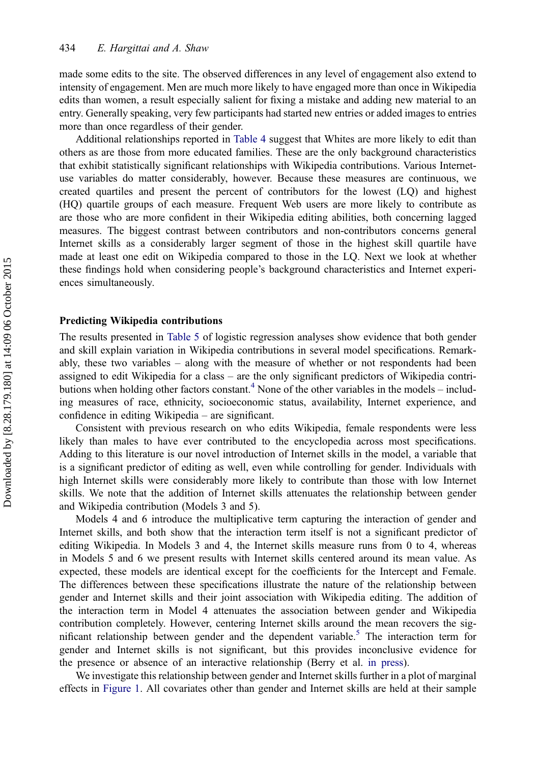made some edits to the site. The observed differences in any level of engagement also extend to intensity of engagement. Men are much more likely to have engaged more than once in Wikipedia edits than women, a result especially salient for fixing a mistake and adding new material to an entry. Generally speaking, very few participants had started new entries or added images to entries more than once regardless of their gender.

Additional relationships reported in [Table 4](#page-10-0) suggest that Whites are more likely to edit than others as are those from more educated families. These are the only background characteristics that exhibit statistically significant relationships with Wikipedia contributions. Various Internetuse variables do matter considerably, however. Because these measures are continuous, we created quartiles and present the percent of contributors for the lowest (LQ) and highest (HQ) quartile groups of each measure. Frequent Web users are more likely to contribute as are those who are more confident in their Wikipedia editing abilities, both concerning lagged measures. The biggest contrast between contributors and non-contributors concerns general Internet skills as a considerably larger segment of those in the highest skill quartile have made at least one edit on Wikipedia compared to those in the LQ. Next we look at whether these findings hold when considering people's background characteristics and Internet experiences simultaneously.

#### Predicting Wikipedia contributions

The results presented in [Table 5](#page-12-0) of logistic regression analyses show evidence that both gender and skill explain variation in Wikipedia contributions in several model specifications. Remarkably, these two variables – along with the measure of whether or not respondents had been assigned to edit Wikipedia for a class – are the only significant predictors of Wikipedia contri-butions when holding other factors constant.<sup>[4](#page-16-0)</sup> None of the other variables in the models – including measures of race, ethnicity, socioeconomic status, availability, Internet experience, and confidence in editing Wikipedia – are significant.

Consistent with previous research on who edits Wikipedia, female respondents were less likely than males to have ever contributed to the encyclopedia across most specifications. Adding to this literature is our novel introduction of Internet skills in the model, a variable that is a significant predictor of editing as well, even while controlling for gender. Individuals with high Internet skills were considerably more likely to contribute than those with low Internet skills. We note that the addition of Internet skills attenuates the relationship between gender and Wikipedia contribution (Models 3 and 5).

Models 4 and 6 introduce the multiplicative term capturing the interaction of gender and Internet skills, and both show that the interaction term itself is not a significant predictor of editing Wikipedia. In Models 3 and 4, the Internet skills measure runs from 0 to 4, whereas in Models 5 and 6 we present results with Internet skills centered around its mean value. As expected, these models are identical except for the coefficients for the Intercept and Female. The differences between these specifications illustrate the nature of the relationship between gender and Internet skills and their joint association with Wikipedia editing. The addition of the interaction term in Model 4 attenuates the association between gender and Wikipedia contribution completely. However, centering Internet skills around the mean recovers the sig-nificant relationship between gender and the dependent variable.<sup>[5](#page-17-0)</sup> The interaction term for gender and Internet skills is not significant, but this provides inconclusive evidence for the presence or absence of an interactive relationship (Berry et al. [in press](#page-17-0)).

We investigate this relationship between gender and Internet skills further in a plot of marginal effects in [Figure 1.](#page-13-0) All covariates other than gender and Internet skills are held at their sample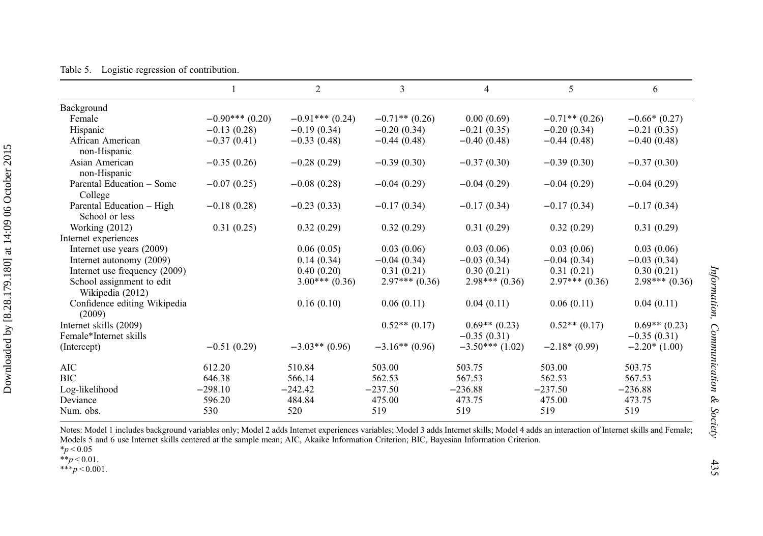|                                               |                  | $\overline{2}$   | 3                | 4                | 5                | 6               |
|-----------------------------------------------|------------------|------------------|------------------|------------------|------------------|-----------------|
| Background                                    |                  |                  |                  |                  |                  |                 |
| Female                                        | $-0.90***(0.20)$ | $-0.91***(0.24)$ | $-0.71**$ (0.26) | 0.00(0.69)       | $-0.71**$ (0.26) | $-0.66*(0.27)$  |
| Hispanic                                      | $-0.13(0.28)$    | $-0.19(0.34)$    | $-0.20(0.34)$    | $-0.21(0.35)$    | $-0.20(0.34)$    | $-0.21(0.35)$   |
| African American<br>non-Hispanic              | $-0.37(0.41)$    | $-0.33(0.48)$    | $-0.44(0.48)$    | $-0.40(0.48)$    | $-0.44(0.48)$    | $-0.40(0.48)$   |
| Asian American<br>non-Hispanic                | $-0.35(0.26)$    | $-0.28(0.29)$    | $-0.39(0.30)$    | $-0.37(0.30)$    | $-0.39(0.30)$    | $-0.37(0.30)$   |
| Parental Education – Some<br>College          | $-0.07(0.25)$    | $-0.08(0.28)$    | $-0.04(0.29)$    | $-0.04(0.29)$    | $-0.04(0.29)$    | $-0.04(0.29)$   |
| Parental Education - High<br>School or less   | $-0.18(0.28)$    | $-0.23(0.33)$    | $-0.17(0.34)$    | $-0.17(0.34)$    | $-0.17(0.34)$    | $-0.17(0.34)$   |
| Working (2012)                                | 0.31(0.25)       | 0.32(0.29)       | 0.32(0.29)       | 0.31(0.29)       | 0.32(0.29)       | 0.31(0.29)      |
| Internet experiences                          |                  |                  |                  |                  |                  |                 |
| Internet use years (2009)                     |                  | 0.06(0.05)       | 0.03(0.06)       | 0.03(0.06)       | 0.03(0.06)       | 0.03(0.06)      |
| Internet autonomy (2009)                      |                  | 0.14(0.34)       | $-0.04(0.34)$    | $-0.03(0.34)$    | $-0.04(0.34)$    | $-0.03(0.34)$   |
| Internet use frequency (2009)                 |                  | 0.40(0.20)       | 0.31(0.21)       | 0.30(0.21)       | 0.31(0.21)       | 0.30(0.21)      |
| School assignment to edit<br>Wikipedia (2012) |                  | $3.00***(0.36)$  | $2.97***(0.36)$  | $2.98***(0.36)$  | $2.97***(0.36)$  | $2.98***(0.36)$ |
| Confidence editing Wikipedia<br>(2009)        |                  | 0.16(0.10)       | 0.06(0.11)       | 0.04(0.11)       | 0.06(0.11)       | 0.04(0.11)      |
| Internet skills (2009)                        |                  |                  | $0.52**$ (0.17)  | $0.69**$ (0.23)  | $0.52**$ (0.17)  | $0.69**$ (0.23) |
| Female*Internet skills                        |                  |                  |                  | $-0.35(0.31)$    |                  | $-0.35(0.31)$   |
| (Intercept)                                   | $-0.51(0.29)$    | $-3.03**$ (0.96) | $-3.16**$ (0.96) | $-3.50***(1.02)$ | $-2.18*(0.99)$   | $-2.20*(1.00)$  |
| <b>AIC</b>                                    | 612.20           | 510.84           | 503.00           | 503.75           | 503.00           | 503.75          |
| <b>BIC</b>                                    | 646.38           | 566.14           | 562.53           | 567.53           | 562.53           | 567.53          |
| Log-likelihood                                | $-298.10$        | $-242.42$        | $-237.50$        | $-236.88$        | $-237.50$        | $-236.88$       |
| Deviance                                      | 596.20           | 484.84           | 475.00           | 473.75           | 475.00           | 473.75          |
| Num. obs.                                     | 530              | 520              | 519              | 519              | 519              | 519             |

<span id="page-12-0"></span>Table 5. Logistic regression of contribution.

Notes: Model 1 includes background variables only; Model 2 adds Internet experiences variables; Model 3 adds Internet skills; Model 4 adds an interaction of Internet skills and Female; Models 5 and 6 use Internet skills centered at the sample mean; AIC, Akaike Information Criterion; BIC, Bayesian Information Criterion.

 $*_{p}$  < 0.05

 $*^{*}p < 0.01$ .

\*\*\*p < 0.001.

435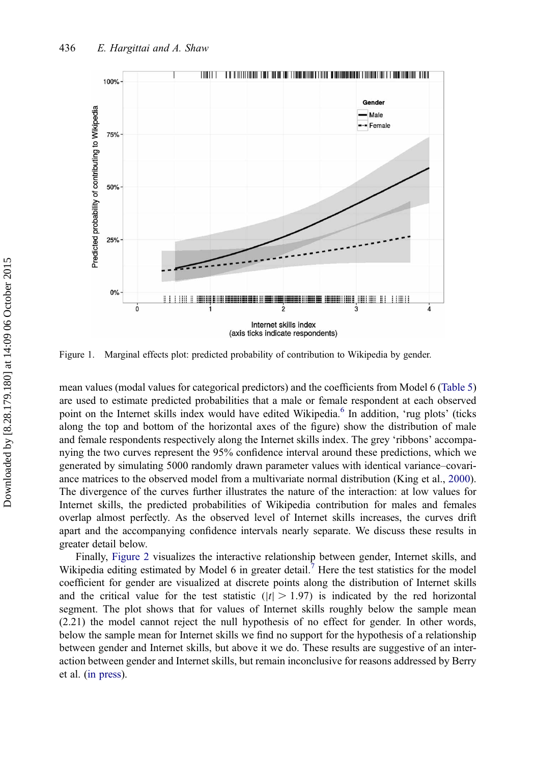<span id="page-13-0"></span>

Figure 1. Marginal effects plot: predicted probability of contribution to Wikipedia by gender.

mean values (modal values for categorical predictors) and the coefficients from Model 6 [\(Table 5](#page-12-0)) are used to estimate predicted probabilities that a male or female respondent at each observed point on the Internet skills index would have edited Wikipedia.[6](#page-17-0) In addition, 'rug plots' (ticks along the top and bottom of the horizontal axes of the figure) show the distribution of male and female respondents respectively along the Internet skills index. The grey 'ribbons' accompanying the two curves represent the 95% confidence interval around these predictions, which we generated by simulating 5000 randomly drawn parameter values with identical variance–covariance matrices to the observed model from a multivariate normal distribution (King et al., [2000\)](#page-18-0). The divergence of the curves further illustrates the nature of the interaction: at low values for Internet skills, the predicted probabilities of Wikipedia contribution for males and females overlap almost perfectly. As the observed level of Internet skills increases, the curves drift apart and the accompanying confidence intervals nearly separate. We discuss these results in greater detail below.

Finally, [Figure 2](#page-14-0) visualizes the interactive relationship between gender, Internet skills, and Wikipedia editing estimated by Model 6 in greater detail.<sup>7</sup> Here the test statistics for the model coefficient for gender are visualized at discrete points along the distribution of Internet skills and the critical value for the test statistic ( $|t| > 1.97$ ) is indicated by the red horizontal segment. The plot shows that for values of Internet skills roughly below the sample mean (2.21) the model cannot reject the null hypothesis of no effect for gender. In other words, below the sample mean for Internet skills we find no support for the hypothesis of a relationship between gender and Internet skills, but above it we do. These results are suggestive of an interaction between gender and Internet skills, but remain inconclusive for reasons addressed by Berry et al. ([in press\)](#page-17-0).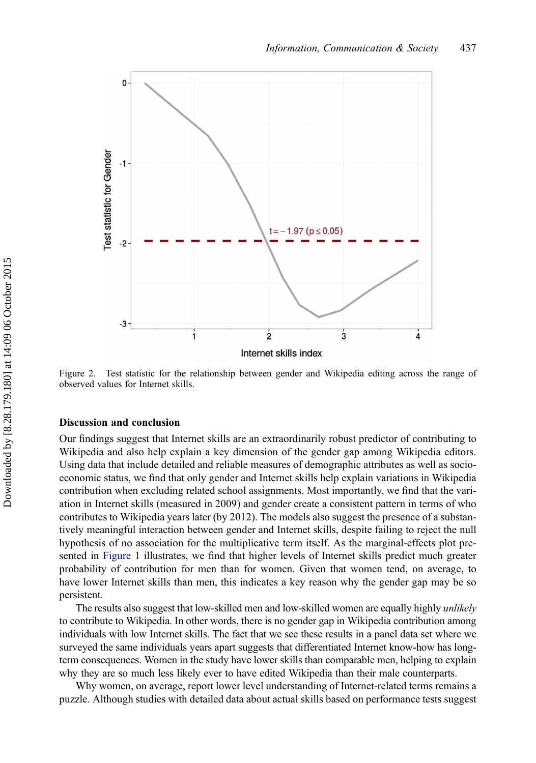<span id="page-14-0"></span>

Figure 2. Test statistic for the relationship between gender and Wikipedia editing across the range of observed values for Internet skills.

# Discussion and conclusion

Our findings suggest that Internet skills are an extraordinarily robust predictor of contributing to Wikipedia and also help explain a key dimension of the gender gap among Wikipedia editors. Using data that include detailed and reliable measures of demographic attributes as well as socioeconomic status, we find that only gender and Internet skills help explain variations in Wikipedia contribution when excluding related school assignments. Most importantly, we find that the variation in Internet skills (measured in 2009) and gender create a consistent pattern in terms of who contributes to Wikipedia years later (by 2012). The models also suggest the presence of a substantively meaningful interaction between gender and Internet skills, despite failing to reject the null hypothesis of no association for the multiplicative term itself. As the marginal-effects plot presented in [Figure 1](#page-13-0) illustrates, we find that higher levels of Internet skills predict much greater probability of contribution for men than for women. Given that women tend, on average, to have lower Internet skills than men, this indicates a key reason why the gender gap may be so persistent.

The results also suggest that low-skilled men and low-skilled women are equally highly *unlikely* to contribute to Wikipedia. In other words, there is no gender gap in Wikipedia contribution among individuals with low Internet skills. The fact that we see these results in a panel data set where we surveyed the same individuals years apart suggests that differentiated Internet know-how has longterm consequences. Women in the study have lower skills than comparable men, helping to explain why they are so much less likely ever to have edited Wikipedia than their male counterparts.

Why women, on average, report lower level understanding of Internet-related terms remains a puzzle. Although studies with detailed data about actual skills based on performance tests suggest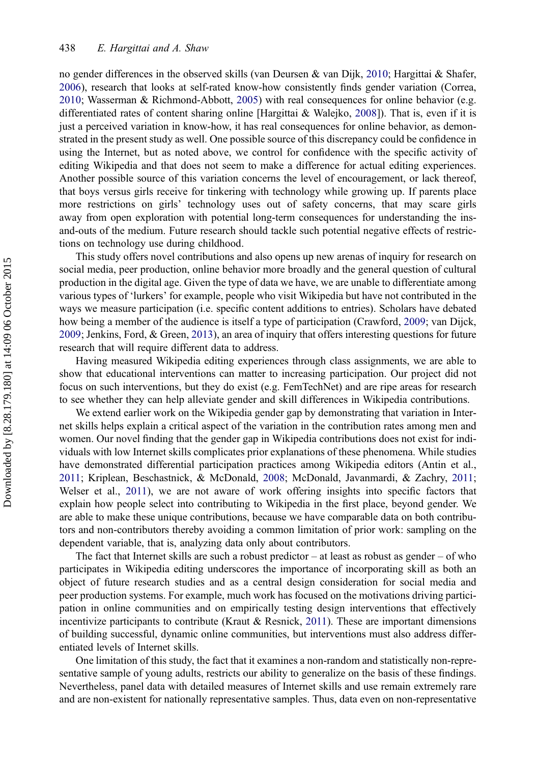no gender differences in the observed skills (van Deursen & van Dijk, [2010](#page-17-0); Hargittai & Shafer, [2006\)](#page-18-0), research that looks at self-rated know-how consistently finds gender variation (Correa, [2010;](#page-17-0) Wasserman & Richmond-Abbott, [2005\)](#page-19-0) with real consequences for online behavior (e.g. differentiated rates of content sharing online [Hargittai & Walejko, [2008\]](#page-18-0)). That is, even if it is just a perceived variation in know-how, it has real consequences for online behavior, as demonstrated in the present study as well. One possible source of this discrepancy could be confidence in using the Internet, but as noted above, we control for confidence with the specific activity of editing Wikipedia and that does not seem to make a difference for actual editing experiences. Another possible source of this variation concerns the level of encouragement, or lack thereof, that boys versus girls receive for tinkering with technology while growing up. If parents place more restrictions on girls' technology uses out of safety concerns, that may scare girls away from open exploration with potential long-term consequences for understanding the insand-outs of the medium. Future research should tackle such potential negative effects of restrictions on technology use during childhood.

This study offers novel contributions and also opens up new arenas of inquiry for research on social media, peer production, online behavior more broadly and the general question of cultural production in the digital age. Given the type of data we have, we are unable to differentiate among various types of 'lurkers' for example, people who visit Wikipedia but have not contributed in the ways we measure participation (i.e. specific content additions to entries). Scholars have debated how being a member of the audience is itself a type of participation (Crawford, [2009;](#page-17-0) van Dijck, [2009;](#page-17-0) Jenkins, Ford, & Green, [2013](#page-18-0)), an area of inquiry that offers interesting questions for future research that will require different data to address.

Having measured Wikipedia editing experiences through class assignments, we are able to show that educational interventions can matter to increasing participation. Our project did not focus on such interventions, but they do exist (e.g. FemTechNet) and are ripe areas for research to see whether they can help alleviate gender and skill differences in Wikipedia contributions.

We extend earlier work on the Wikipedia gender gap by demonstrating that variation in Internet skills helps explain a critical aspect of the variation in the contribution rates among men and women. Our novel finding that the gender gap in Wikipedia contributions does not exist for individuals with low Internet skills complicates prior explanations of these phenomena. While studies have demonstrated differential participation practices among Wikipedia editors (Antin et al., [2011](#page-17-0); Kriplean, Beschastnick, & McDonald, [2008](#page-19-0); McDonald, Javanmardi, & Zachry, [2011;](#page-19-0) Welser et al., [2011](#page-19-0)), we are not aware of work offering insights into specific factors that explain how people select into contributing to Wikipedia in the first place, beyond gender. We are able to make these unique contributions, because we have comparable data on both contributors and non-contributors thereby avoiding a common limitation of prior work: sampling on the dependent variable, that is, analyzing data only about contributors.

The fact that Internet skills are such a robust predictor – at least as robust as gender – of who participates in Wikipedia editing underscores the importance of incorporating skill as both an object of future research studies and as a central design consideration for social media and peer production systems. For example, much work has focused on the motivations driving participation in online communities and on empirically testing design interventions that effectively incentivize participants to contribute (Kraut & Resnick, [2011](#page-18-0)). These are important dimensions of building successful, dynamic online communities, but interventions must also address differentiated levels of Internet skills.

One limitation of this study, the fact that it examines a non-random and statistically non-representative sample of young adults, restricts our ability to generalize on the basis of these findings. Nevertheless, panel data with detailed measures of Internet skills and use remain extremely rare and are non-existent for nationally representative samples. Thus, data even on non-representative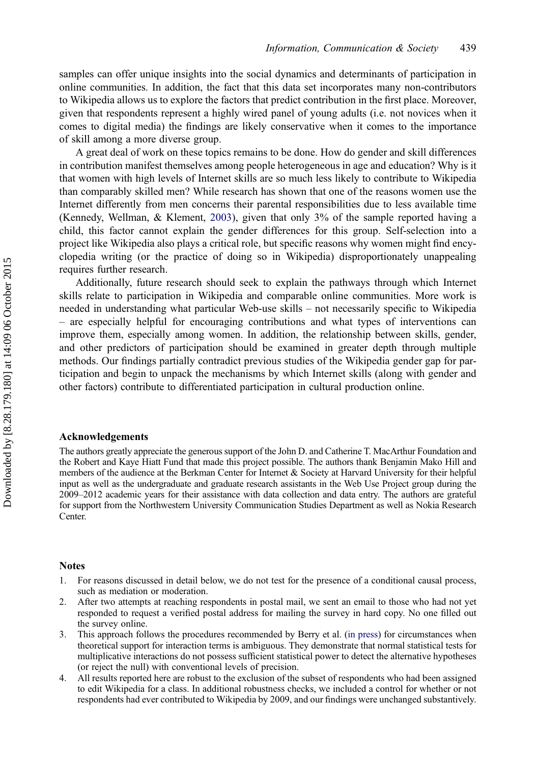<span id="page-16-0"></span>samples can offer unique insights into the social dynamics and determinants of participation in online communities. In addition, the fact that this data set incorporates many non-contributors to Wikipedia allows us to explore the factors that predict contribution in the first place. Moreover, given that respondents represent a highly wired panel of young adults (i.e. not novices when it comes to digital media) the findings are likely conservative when it comes to the importance of skill among a more diverse group.

A great deal of work on these topics remains to be done. How do gender and skill differences in contribution manifest themselves among people heterogeneous in age and education? Why is it that women with high levels of Internet skills are so much less likely to contribute to Wikipedia than comparably skilled men? While research has shown that one of the reasons women use the Internet differently from men concerns their parental responsibilities due to less available time (Kennedy, Wellman, & Klement, [2003\)](#page-18-0), given that only 3% of the sample reported having a child, this factor cannot explain the gender differences for this group. Self-selection into a project like Wikipedia also plays a critical role, but specific reasons why women might find encyclopedia writing (or the practice of doing so in Wikipedia) disproportionately unappealing requires further research.

Additionally, future research should seek to explain the pathways through which Internet skills relate to participation in Wikipedia and comparable online communities. More work is needed in understanding what particular Web-use skills – not necessarily specific to Wikipedia – are especially helpful for encouraging contributions and what types of interventions can improve them, especially among women. In addition, the relationship between skills, gender, and other predictors of participation should be examined in greater depth through multiple methods. Our findings partially contradict previous studies of the Wikipedia gender gap for participation and begin to unpack the mechanisms by which Internet skills (along with gender and other factors) contribute to differentiated participation in cultural production online.

#### Acknowledgements

The authors greatly appreciate the generous support of the John D. and Catherine T. MacArthur Foundation and the Robert and Kaye Hiatt Fund that made this project possible. The authors thank Benjamin Mako Hill and members of the audience at the Berkman Center for Internet & Society at Harvard University for their helpful input as well as the undergraduate and graduate research assistants in the Web Use Project group during the 2009–2012 academic years for their assistance with data collection and data entry. The authors are grateful for support from the Northwestern University Communication Studies Department as well as Nokia Research Center.

#### Notes

- 1. For reasons discussed in detail below, we do not test for the presence of a conditional causal process, such as mediation or moderation.
- 2. After two attempts at reaching respondents in postal mail, we sent an email to those who had not yet responded to request a verified postal address for mailing the survey in hard copy. No one filled out the survey online.
- 3. This approach follows the procedures recommended by Berry et al. [\(in press\)](#page-17-0) for circumstances when theoretical support for interaction terms is ambiguous. They demonstrate that normal statistical tests for multiplicative interactions do not possess sufficient statistical power to detect the alternative hypotheses (or reject the null) with conventional levels of precision.
- 4. All results reported here are robust to the exclusion of the subset of respondents who had been assigned to edit Wikipedia for a class. In additional robustness checks, we included a control for whether or not respondents had ever contributed to Wikipedia by 2009, and our findings were unchanged substantively.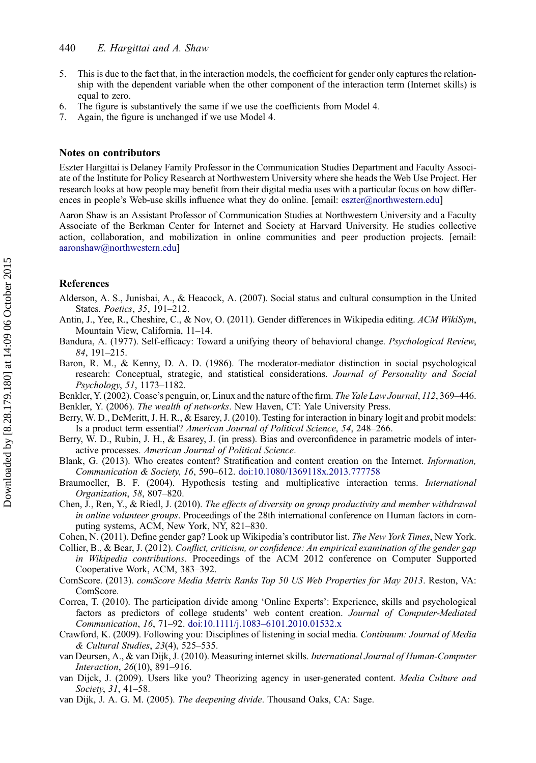- <span id="page-17-0"></span>5. This is due to the fact that, in the interaction models, the coefficient for gender only captures the relationship with the dependent variable when the other component of the interaction term (Internet skills) is equal to zero.
- 6. The figure is substantively the same if we use the coefficients from Model 4.
- 7. Again, the figure is unchanged if we use Model 4.

# Notes on contributors

Eszter Hargittai is Delaney Family Professor in the Communication Studies Department and Faculty Associate of the Institute for Policy Research at Northwestern University where she heads the Web Use Project. Her research looks at how people may benefit from their digital media uses with a particular focus on how differences in people's Web-use skills influence what they do online. [email: [eszter@northwestern.edu\]](mailto:eszter@northwestern.edu)

Aaron Shaw is an Assistant Professor of Communication Studies at Northwestern University and a Faculty Associate of the Berkman Center for Internet and Society at Harvard University. He studies collective action, collaboration, and mobilization in online communities and peer production projects. [email: [aaronshaw@northwestern.edu\]](mailto:aaronshaw@northwestern.edu)

#### References

- Alderson, A. S., Junisbai, A., & Heacock, A. (2007). Social status and cultural consumption in the United States. Poetics, 35, 191–212.
- Antin, J., Yee, R., Cheshire, C., & Nov, O. (2011). Gender differences in Wikipedia editing. ACM WikiSym, Mountain View, California, 11–14.
- Bandura, A. (1977). Self-efficacy: Toward a unifying theory of behavioral change. Psychological Review, 84, 191–215.
- Baron, R. M., & Kenny, D. A. D. (1986). The moderator-mediator distinction in social psychological research: Conceptual, strategic, and statistical considerations. Journal of Personality and Social Psychology, 51, 1173–1182.

Benkler, Y. (2002). Coase's penguin, or, Linux and the nature of the firm. The Yale Law Journal, 112, 369–446. Benkler, Y. (2006). The wealth of networks. New Haven, CT: Yale University Press.

- Berry, W. D., DeMeritt, J. H. R., & Esarey, J. (2010). Testing for interaction in binary logit and probit models: Is a product term essential? American Journal of Political Science, 54, 248–266.
- Berry, W. D., Rubin, J. H., & Esarey, J. (in press). Bias and overconfidence in parametric models of interactive processes. American Journal of Political Science.
- Blank, G. (2013). Who creates content? Stratification and content creation on the Internet. Information, Communication & Society, 16, 590–612. [doi:10.1080/1369118x.2013.777758](http://dx.doi.org/10.1080/1369118x.2013.777758)
- Braumoeller, B. F. (2004). Hypothesis testing and multiplicative interaction terms. International Organization, 58, 807–820.
- Chen, J., Ren, Y., & Riedl, J. (2010). The effects of diversity on group productivity and member withdrawal in online volunteer groups. Proceedings of the 28th international conference on Human factors in computing systems, ACM, New York, NY, 821–830.

Cohen, N. (2011). Define gender gap? Look up Wikipedia's contributor list. The New York Times, New York.

- Collier, B., & Bear, J. (2012). Conflict, criticism, or confidence: An empirical examination of the gender gap in Wikipedia contributions. Proceedings of the ACM 2012 conference on Computer Supported Cooperative Work, ACM, 383–392.
- ComScore. (2013). comScore Media Metrix Ranks Top 50 US Web Properties for May 2013. Reston, VA: ComScore.
- Correa, T. (2010). The participation divide among 'Online Experts': Experience, skills and psychological factors as predictors of college students' web content creation. Journal of Computer-Mediated Communication, 16, 71–92. doi:10.1111/j.1083–[6101.2010.01532.x](http://dx.doi.org/10.1111/j.1083--6101.2010.01532.x)
- Crawford, K. (2009). Following you: Disciplines of listening in social media. Continuum: Journal of Media & Cultural Studies, 23(4), 525–535.
- van Deursen, A., & van Dijk, J. (2010). Measuring internet skills. International Journal of Human-Computer Interaction, 26(10), 891–916.
- van Dijck, J. (2009). Users like you? Theorizing agency in user-generated content. Media Culture and Society, 31, 41–58.
- van Dijk, J. A. G. M. (2005). The deepening divide. Thousand Oaks, CA: Sage.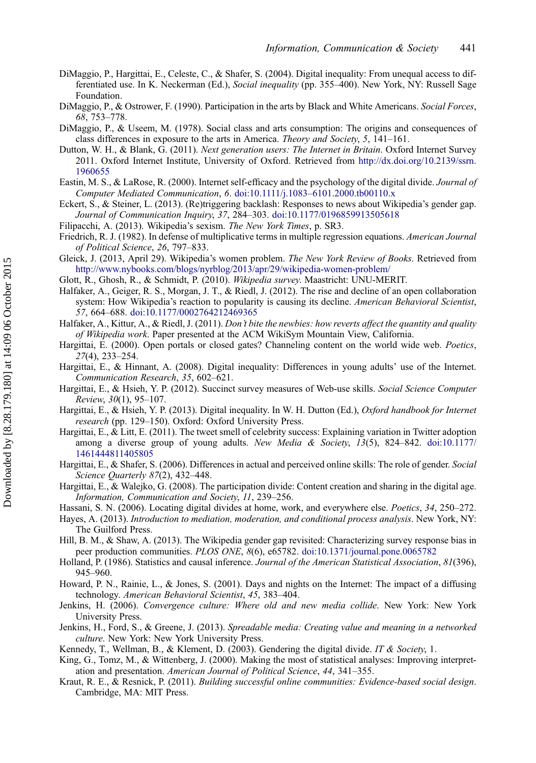- <span id="page-18-0"></span>DiMaggio, P., Hargittai, E., Celeste, C., & Shafer, S. (2004). Digital inequality: From unequal access to differentiated use. In K. Neckerman (Ed.), Social inequality (pp. 355-400). New York, NY: Russell Sage Foundation.
- DiMaggio, P., & Ostrower, F. (1990). Participation in the arts by Black and White Americans. Social Forces, 68, 753–778.
- DiMaggio, P., & Useem, M. (1978). Social class and arts consumption: The origins and consequences of class differences in exposure to the arts in America. Theory and Society, 5, 141–161.
- Dutton, W. H., & Blank, G. (2011). Next generation users: The Internet in Britain. Oxford Internet Survey 2011. Oxford Internet Institute, University of Oxford. Retrieved from [http://dx.doi.org/10.2139/ssrn.](http://dx.doi.org/10.2139/ssrn.1960655) [1960655](http://dx.doi.org/10.2139/ssrn.1960655)
- Eastin, M. S., & LaRose, R. (2000). Internet self-efficacy and the psychology of the digital divide. Journal of Computer Mediated Communication, 6. doi:10.1111/j.1083–[6101.2000.tb00110.x](http://dx.doi.org/10.1111/j.1083--6101.2000.tb00110.x)
- Eckert, S., & Steiner, L. (2013). (Re)triggering backlash: Responses to news about Wikipedia's gender gap. Journal of Communication Inquiry, 37, 284–303. [doi:10.1177/0196859913505618](http://dx.doi.org/10.1177/0196859913505618)
- Filipacchi, A. (2013). Wikipedia's sexism. The New York Times, p. SR3.
- Friedrich, R. J. (1982). In defense of multiplicative terms in multiple regression equations. American Journal of Political Science, 26, 797–833.
- Gleick, J. (2013, April 29). Wikipedia's women problem. The New York Review of Books. Retrieved from <http://www.nybooks.com/blogs/nyrblog/2013/apr/29/wikipedia-women-problem/>
- Glott, R., Ghosh, R., & Schmidt, P. (2010). Wikipedia survey. Maastricht: UNU-MERIT.
- Halfaker, A., Geiger, R. S., Morgan, J. T., & Riedl, J. (2012). The rise and decline of an open collaboration system: How Wikipedia's reaction to popularity is causing its decline. American Behavioral Scientist, 57, 664–688. [doi:10.1177/0002764212469365](http://dx.doi.org/10.1177/0002764212469365)
- Halfaker, A., Kittur, A., & Riedl, J. (2011). Don't bite the newbies: how reverts affect the quantity and quality of Wikipedia work. Paper presented at the ACM WikiSym Mountain View, California.
- Hargittai, E. (2000). Open portals or closed gates? Channeling content on the world wide web. Poetics, 27(4), 233–254.
- Hargittai, E., & Hinnant, A. (2008). Digital inequality: Differences in young adults' use of the Internet. Communication Research, 35, 602–621.
- Hargittai, E., & Hsieh, Y. P. (2012). Succinct survey measures of Web-use skills. Social Science Computer Review, 30(1), 95–107.
- Hargittai, E., & Hsieh, Y. P. (2013). Digital inequality. In W. H. Dutton (Ed.), Oxford handbook for Internet research (pp. 129–150). Oxford: Oxford University Press.
- Hargittai, E., & Litt, E. (2011). The tweet smell of celebrity success: Explaining variation in Twitter adoption among a diverse group of young adults. New Media & Society, 13(5), 824–842. [doi:10.1177/](http://dx.doi.org/10.1177/1461444811405805) [1461444811405805](http://dx.doi.org/10.1177/1461444811405805)
- Hargittai, E., & Shafer, S. (2006). Differences in actual and perceived online skills: The role of gender. Social Science Quarterly 87(2), 432–448.
- Hargittai, E., & Walejko, G. (2008). The participation divide: Content creation and sharing in the digital age. Information, Communication and Society, 11, 239–256.
- Hassani, S. N. (2006). Locating digital divides at home, work, and everywhere else. Poetics, 34, 250–272.
- Hayes, A. (2013). Introduction to mediation, moderation, and conditional process analysis. New York, NY: The Guilford Press.
- Hill, B. M., & Shaw, A. (2013). The Wikipedia gender gap revisited: Characterizing survey response bias in peer production communities. PLOS ONE, 8(6), e65782. [doi:10.1371/journal.pone.0065782](http://dx.doi.org/10.1371/journal.pone.0065782)
- Holland, P. (1986). Statistics and causal inference. Journal of the American Statistical Association, 81(396), 945–960.
- Howard, P. N., Rainie, L., & Jones, S. (2001). Days and nights on the Internet: The impact of a diffusing technology. American Behavioral Scientist, 45, 383–404.
- Jenkins, H. (2006). Convergence culture: Where old and new media collide. New York: New York University Press.
- Jenkins, H., Ford, S., & Greene, J. (2013). Spreadable media: Creating value and meaning in a networked culture. New York: New York University Press.
- Kennedy, T., Wellman, B., & Klement, D. (2003). Gendering the digital divide. IT & Society, 1.
- King, G., Tomz, M., & Wittenberg, J. (2000). Making the most of statistical analyses: Improving interpretation and presentation. American Journal of Political Science, 44, 341–355.
- Kraut, R. E., & Resnick, P. (2011). Building successful online communities: Evidence-based social design. Cambridge, MA: MIT Press.